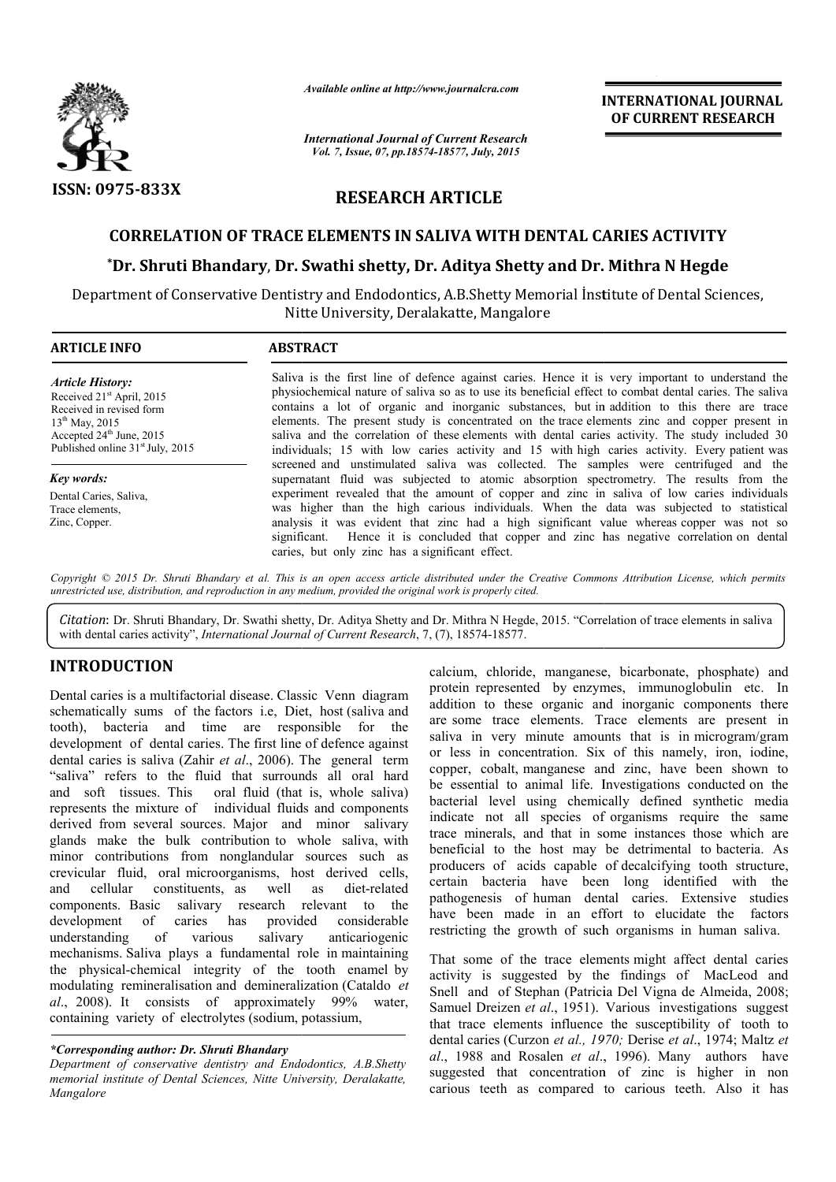

*Available online at http://www.journalcra.com*

*International Journal of Current Research Vol. 7, Issue, 07, pp.18574-18577, July, 2015*

**INTERNATIONAL INTERNATIONAL JOURNAL OF CURRENT RESEARCH** 

# **RESEARCH ARTICLE**

## **CORRELATION OF TRACE ELEMENTS IN SALIVA WITH DENTAL CARIES ACTIVITY**

# **\*Dr. Shruti Bhandary**, **Dr. Swathi shetty, Dr. Aditya Shetty and Dr. Dr. Mithra N Hegde**

Department of Conservative Dentistry and Endodontics, A.B.Shetty Memorial İnstitute Memorial İnstitute of Dental Sciences, Nitte University, Deralakatte, Mangalore

| <b>ARTICLE INFO</b>                                                                                                                                                                                                                                                           | <b>ABSTRACT</b>                                                                                                                                                                                                                                                                                                                                                                                                                                                                                                                                                                                                                                                                                                                                                                                 |  |  |  |  |  |
|-------------------------------------------------------------------------------------------------------------------------------------------------------------------------------------------------------------------------------------------------------------------------------|-------------------------------------------------------------------------------------------------------------------------------------------------------------------------------------------------------------------------------------------------------------------------------------------------------------------------------------------------------------------------------------------------------------------------------------------------------------------------------------------------------------------------------------------------------------------------------------------------------------------------------------------------------------------------------------------------------------------------------------------------------------------------------------------------|--|--|--|--|--|
| <b>Article History:</b><br>Received 21 <sup>st</sup> April, 2015<br>Received in revised form<br>$13^{th}$ May, 2015<br>Accepted $24th$ June, 2015<br>Published online 31 <sup>st</sup> July, 2015<br>Key words:<br>Dental Caries, Saliva,<br>Trace elements.<br>Zinc, Copper. | Saliva is the first line of defence against caries. Hence it is very important to understand the<br>physiochemical nature of saliva so as to use its beneficial effect to combat dental caries. The saliva<br>contains a lot of organic and inorganic substances, but in addition to this there are trace<br>elements. The present study is concentrated on the trace elements zinc and copper present in<br>saliva and the correlation of these elements with dental caries activity. The study included 30<br>individuals; 15 with low caries activity and 15 with high caries activity. Every patient was<br>screened and unstimulated saliva was collected. The samples were centrifuged and the<br>supernatant fluid was subjected to atomic absorption spectrometry. The results from the |  |  |  |  |  |
|                                                                                                                                                                                                                                                                               | experiment revealed that the amount of copper and zinc in saliva of low caries individuals<br>was higher than the high carious individuals. When the data was subjected to statistical<br>analysis it was evident that zinc had a high significant value whereas copper was not so<br>significant. Hence it is concluded that copper and zinc has negative correlation on dental<br>caries, but only zinc has a significant effect.                                                                                                                                                                                                                                                                                                                                                             |  |  |  |  |  |

Copyright © 2015 Dr. Shruti Bhandary et al. This is an open access article distributed under the Creative Commons Attribution License, which permits *unrestricted use, distribution, and reproduction in any medium, provided the original work is properly cited.*

Citation: Dr. Shruti Bhandary, Dr. Swathi shetty, Dr. Aditya Shetty and Dr. Mithra N Hegde, 2015. "Correlation of trace elements in saliva with dental caries activity", *International Journal of Current Research*, 7, (7), 18574-18577.

# **INTRODUCTION**

Dental caries is a multifactorial disease. Classic Venn diagram schematically sums of the factors i.e, Diet, host (saliva and tooth), bacteria and time are responsible for the development of dental caries. The first line of defence against dental caries is saliva (Zahir *et al*., 2006). The general term "saliva" refers to the fluid that surrounds all oral hard and soft tissues. This oral fluid (that is, whole saliva) represents the mixture of individual fluids and components derived from several sources. Major and minor salivary glands make the bulk contribution to whole saliva, with minor contributions from nonglandular sources such as crevicular fluid, oral microorganisms, host derived cells, and cellular constituents, as well as components. Basic salivary research relevant to the development of caries has provided considerable understanding of various salivary anticariogenic mechanisms. Saliva plays a fundamental role in maintaining the physical-chemical integrity of the tooth enamel by l modulating remineralisation and demineralization (Cataldo *et al*., 2008). It consists of approximately 99% water, containing variety of electrolytes (sodium, potassium, diet-related

#### *\*Corresponding author: Dr. Shruti Bhandary*

*Department of conservative dentistry and Endodontics, A.B.Shetty memorial institute of Dental Sciences, Nitte University, Deralakatte, Mangalore*

calcium, chloride, manganese, bicarbonate, phosphate) and protein represented by enzymes, immunoglobulin etc. In addition to these organic and inorganic components there are some trace elements. Trace elements are present in saliva in very minute amounts that is in microgram/gram or less in concentration. Six of this namely, iron, iodine, copper, cobalt, manganese and zinc, have been shown to be essential to animal life. Investigations conducted on the calcium, chloride, manganese, bicarbonate, phosphate) and protein represented by enzymes, immunoglobulin etc. In addition to these organic and inorganic components there are some trace elements. Trace elements are present indicate not all species of organisms require the same trace minerals, and that in some instances those which are beneficial to the host may be detrimental to bacteria. As producers of acids capable of decalcifying tooth structure, certain bacteria have been long identified with the pathogenesis of human dental caries. Extensive studies have been made in an effort to elucidate the factors restricting the growth of such organisms in human saliva. species of organisms require the same<br>I that in some instances those which are<br>host may be detrimental to bacteria. As<br>s capable of decalcifying tooth structure, bacteria have been long identified with thesis of human dental caries. Extensive studie<br>en made in an effort to elucidate the factor<br>g the growth of such organisms in human saliva. INTERNATIONAL JOURNAL<br>
OF CURRENT RESEARCH<br>
OF CURRENT RESEARCH<br>
DURINAL CONDINETY<br>
DURINETY<br>
DURINETY<br>
DURINETY<br>
DURINETY<br>
DURINETY<br>
TURINETY<br>
TURINETY<br>
TURINETY<br>
TURINETY<br>
TURINETY<br>
TURINETY<br>
TURINETY<br>
FOR THE TRIGURITY

That some of the trace elements might affect dental caries activity is suggested by the findings of MacLeod and Snell and of Stephan (Patricia Del Vigna de Almeida, 2008; Samuel Dreizen *et al.*, 1951). Various investigations suggest that trace elements influence the susceptibility of tooth to dental caries (Curzon *et al., 1970; Derise et al., 1974; Maltz et* al., 1988 and Rosalen *et al.*, 1996). Many authors have suggested that concentration of zinc is higher in non carious teeth as compared to carious teeth. Also it has That some of the trace elements might affect dental caries activity is suggested by the findings of MacLeod and Snell and of Stephan (Patricia Del Vigna de Almeida, 2008; Samuel Dreizen *et al.*, 1951). Various investigati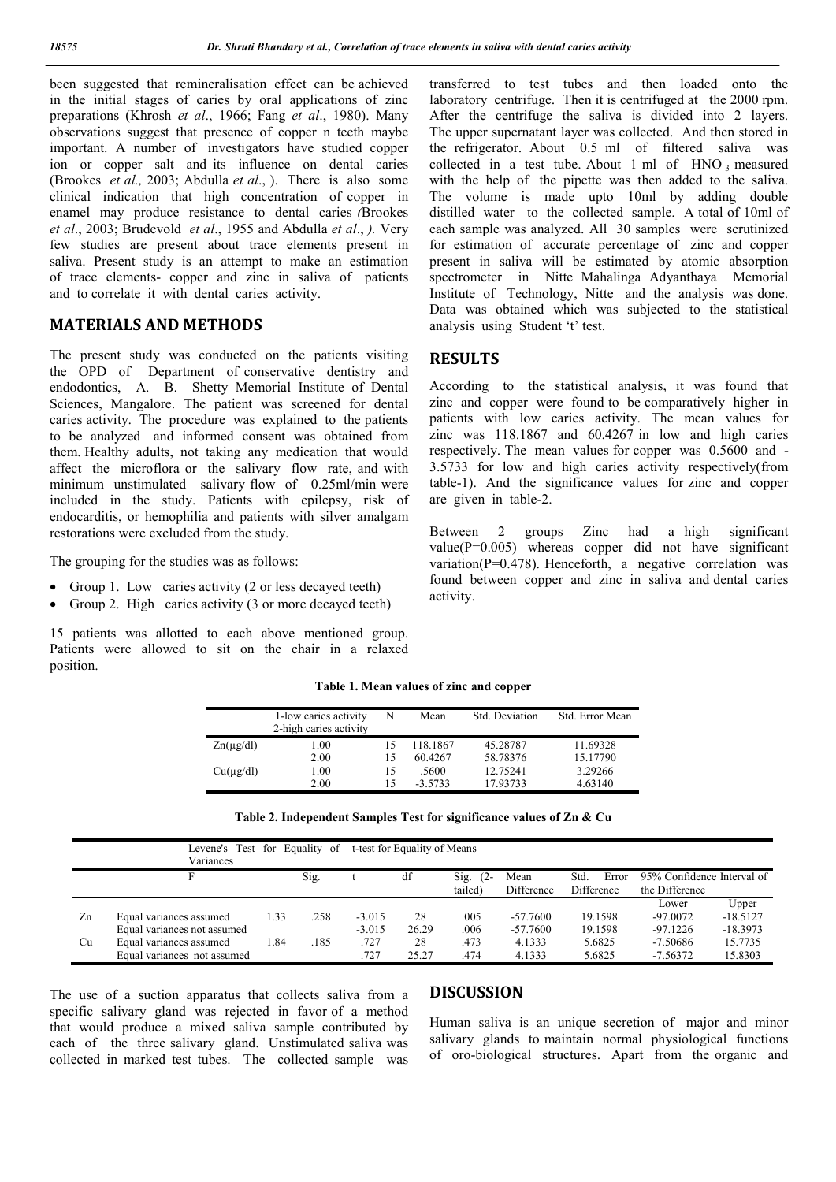been suggested that remineralisation effect can be achieved in the initial stages of caries by oral applications of zinc preparations (Khrosh *et al*., 1966; Fang *et al*., 1980). Many observations suggest that presence of copper n teeth maybe important. A number of investigators have studied copper ion or copper salt and its influence on dental caries (Brookes *et al.,* 2003; Abdulla *et al*., ). There is also some clinical indication that high concentration of copper in enamel may produce resistance to dental caries *(*Brookes *et al*., 2003; Brudevold *et al*., 1955 and Abdulla *et al*., *).* Very few studies are present about trace elements present in saliva. Present study is an attempt to make an estimation of trace elements- copper and zinc in saliva of patients and to correlate it with dental caries activity.

# **MATERIALS AND METHODS**

The present study was conducted on the patients visiting the OPD of Department of conservative dentistry and endodontics, A. B. Shetty Memorial Institute of Dental Sciences, Mangalore. The patient was screened for dental caries activity. The procedure was explained to the patients to be analyzed and informed consent was obtained from them. Healthy adults, not taking any medication that would affect the microflora or the salivary flow rate, and with minimum unstimulated salivary flow of 0.25ml/min were included in the study. Patients with epilepsy, risk of endocarditis, or hemophilia and patients with silver amalgam restorations were excluded from the study.

The grouping for the studies was as follows:

- Group 1. Low caries activity  $(2 \text{ or } \text{less } \text{decayed } \text{ teeth})$
- Group 2. High caries activity (3 or more decayed teeth)

15 patients was allotted to each above mentioned group. Patients were allowed to sit on the chair in a relaxed position.

transferred to test tubes and then loaded onto the laboratory centrifuge. Then it is centrifuged at the 2000 rpm. After the centrifuge the saliva is divided into 2 layers. The upper supernatant layer was collected. And then stored in the refrigerator. About 0.5 ml of filtered saliva was collected in a test tube. About 1 ml of  $HNO_3$  measured with the help of the pipette was then added to the saliva. The volume is made upto 10ml by adding double distilled water to the collected sample. A total of 10ml of each sample was analyzed. All 30 samples were scrutinized for estimation of accurate percentage of zinc and copper present in saliva will be estimated by atomic absorption spectrometer in Nitte Mahalinga Adyanthaya Memorial Institute of Technology, Nitte and the analysis was done. Data was obtained which was subjected to the statistical analysis using Student 't' test.

### **RESULTS**

According to the statistical analysis, it was found that zinc and copper were found to be comparatively higher in patients with low caries activity. The mean values for zinc was 118.1867 and 60.4267 in low and high caries respectively. The mean values for copper was 0.5600 and - 3.5733 for low and high caries activity respectively(from table-1). And the significance values for zinc and copper are given in table-2.

Between 2 groups Zinc had a high significant value( $P=0.005$ ) whereas copper did not have significant variation(P=0.478). Henceforth, a negative correlation was found between copper and zinc in saliva and dental caries activity.

|                | 1-low caries activity<br>2-high caries activity | N  | Mean      | Std. Deviation | Std. Error Mean |
|----------------|-------------------------------------------------|----|-----------|----------------|-----------------|
| $Zn(\mu g/dl)$ | 1.00                                            |    | 118.1867  | 45.28787       | 11.69328        |
|                | 2.00                                            | 15 | 60.4267   | 58.78376       | 15.17790        |
| $Cu(\mu g/dl)$ | 1.00                                            | 15 | .5600     | 12.75241       | 3.29266         |
|                | 2.00                                            | 15 | $-3.5733$ | 17.93733       | 4.63140         |

**Table 1. Mean values of zinc and copper**

| Table 2. Independent Samples Test for significance values of Zn & Cu |  |  |  |
|----------------------------------------------------------------------|--|--|--|
|----------------------------------------------------------------------|--|--|--|

|    | Levene's                    |      | Test for Equality of |          | t-test for Equality of Means |                |            |               |                            |            |
|----|-----------------------------|------|----------------------|----------|------------------------------|----------------|------------|---------------|----------------------------|------------|
|    | Variances                   |      |                      |          |                              |                |            |               |                            |            |
|    |                             |      | Sig.                 |          | df                           | $(2 -$<br>Sig. | Mean       | Std.<br>Error | 95% Confidence Interval of |            |
|    |                             |      |                      |          |                              | tailed)        | Difference | Difference    | the Difference             |            |
|    |                             |      |                      |          |                              |                |            |               | Lower                      | Upper      |
| Zn | Equal variances assumed     | 1.33 | .258                 | $-3.015$ | 28                           | .005           | $-57.7600$ | 19.1598       | $-97.0072$                 | $-18.5127$ |
|    | Equal variances not assumed |      |                      | $-3.015$ | 26.29                        | .006           | $-57.7600$ | 19.1598       | $-97.1226$                 | $-18.3973$ |
| Cu | Equal variances assumed     | 1.84 | .185                 | .727     | 28                           | .473           | 4.1333     | 5.6825        | $-7.50686$                 | 15.7735    |
|    | Equal variances not assumed |      |                      | .727     | 25.27                        | .474           | 4.1333     | 5.6825        | $-7.56372$                 | 15.8303    |

The use of a suction apparatus that collects saliva from a specific salivary gland was rejected in favor of a method that would produce a mixed saliva sample contributed by each of the three salivary gland. Unstimulated saliva was collected in marked test tubes. The collected sample was

### **DISCUSSION**

Human saliva is an unique secretion of major and minor salivary glands to maintain normal physiological functions of oro-biological structures. Apart from the organic and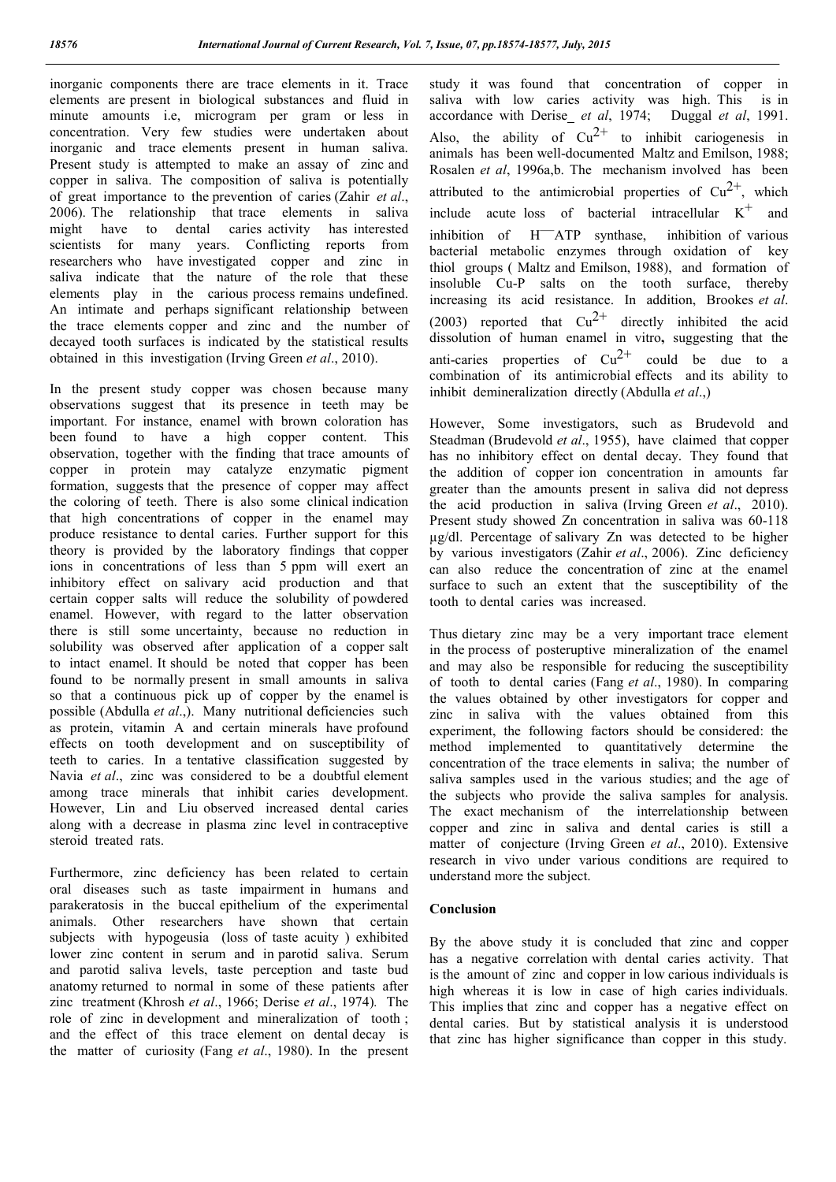inorganic components there are trace elements in it. Trace elements are present in biological substances and fluid in minute amounts i.e, microgram per gram or less in concentration. Very few studies were undertaken about inorganic and trace elements present in human saliva. Present study is attempted to make an assay of zinc and copper in saliva. The composition of saliva is potentially of great importance to the prevention of caries (Zahir *et al*., 2006). The relationship that trace elements in saliva might have to dental caries activity has interested scientists for many years. Conflicting reports from researchers who have investigated copper and zinc in saliva indicate that the nature of the role that these elements play in the carious process remains undefined. An intimate and perhaps significant relationship between the trace elements copper and zinc and the number of decayed tooth surfaces is indicated by the statistical results obtained in this investigation (Irving Green *et al*., 2010).

In the present study copper was chosen because many observations suggest that its presence in teeth may be important. For instance, enamel with brown coloration has been found to have a high copper content. This observation, together with the finding that trace amounts of copper in protein may catalyze enzymatic pigment formation, suggests that the presence of copper may affect the coloring of teeth. There is also some clinical indication that high concentrations of copper in the enamel may produce resistance to dental caries. Further support for this theory is provided by the laboratory findings that copper ions in concentrations of less than 5 ppm will exert an inhibitory effect on salivary acid production and that certain copper salts will reduce the solubility of powdered enamel. However, with regard to the latter observation there is still some uncertainty, because no reduction in solubility was observed after application of a copper salt to intact enamel. It should be noted that copper has been found to be normally present in small amounts in saliva so that a continuous pick up of copper by the enamel is possible (Abdulla *et al*.,). Many nutritional deficiencies such as protein, vitamin A and certain minerals have profound effects on tooth development and on susceptibility of teeth to caries. In a tentative classification suggested by Navia *et al*., zinc was considered to be a doubtful element among trace minerals that inhibit caries development. However, Lin and Liu observed increased dental caries along with a decrease in plasma zinc level in contraceptive steroid treated rats.

Furthermore, zinc deficiency has been related to certain oral diseases such as taste impairment in humans and parakeratosis in the buccal epithelium of the experimental animals. Other researchers have shown that certain subjects with hypogeusia (loss of taste acuity ) exhibited lower zinc content in serum and in parotid saliva. Serum and parotid saliva levels, taste perception and taste bud anatomy returned to normal in some of these patients after zinc treatment (Khrosh *et al*., 1966; Derise *et al*., 1974)*.* The role of zinc in development and mineralization of tooth ; and the effect of this trace element on dental decay is the matter of curiosity (Fang *et al*., 1980). In the present

study it was found that concentration of copper in saliva with low caries activity was high. This is in accordance with Derise *et al*, 1974; Duggal *et al*, 1991. Also, the ability of  $Cu^{2+}$  to inhibit cariogenesis in animals has been well-documented Maltz and Emilson, 1988; Rosalen *et al*, 1996a,b. The mechanism involved has been attributed to the antimicrobial properties of  $Cu^{2+}$ , which include acute loss of bacterial intracellular  $K^+$  and inhibition of H—ATP synthase, inhibition of various bacterial metabolic enzymes through oxidation of key thiol groups ( Maltz and Emilson, 1988), and formation of insoluble Cu-P salts on the tooth surface, thereby increasing its acid resistance. In addition, Brookes *et al*. (2003) reported that  $Cu^{2+}$  directly inhibited the acid dissolution of human enamel in vitro**,** suggesting that the anti-caries properties of  $Cu^{2+}$  could be due to a combination of its antimicrobial effects and its ability to inhibit demineralization directly (Abdulla *et al*.,)

However, Some investigators, such as Brudevold and Steadman (Brudevold *et al*., 1955), have claimed that copper has no inhibitory effect on dental decay. They found that the addition of copper ion concentration in amounts far greater than the amounts present in saliva did not depress the acid production in saliva (Irving Green *et al*., 2010). Present study showed Zn concentration in saliva was 60-118 µg/dl. Percentage of salivary Zn was detected to be higher by various investigators (Zahir *et al*., 2006). Zinc deficiency can also reduce the concentration of zinc at the enamel surface to such an extent that the susceptibility of the tooth to dental caries was increased.

Thus dietary zinc may be a very important trace element in the process of posteruptive mineralization of the enamel and may also be responsible for reducing the susceptibility of tooth to dental caries (Fang *et al*., 1980). In comparing the values obtained by other investigators for copper and zinc in saliva with the values obtained from this experiment, the following factors should be considered: the method implemented to quantitatively determine the concentration of the trace elements in saliva; the number of saliva samples used in the various studies; and the age of the subjects who provide the saliva samples for analysis. The exact mechanism of the interrelationship between copper and zinc in saliva and dental caries is still a matter of conjecture (Irving Green *et al*., 2010). Extensive research in vivo under various conditions are required to understand more the subject.

#### **Conclusion**

By the above study it is concluded that zinc and copper has a negative correlation with dental caries activity. That is the amount of zinc and copper in low carious individuals is high whereas it is low in case of high caries individuals. This implies that zinc and copper has a negative effect on dental caries. But by statistical analysis it is understood that zinc has higher significance than copper in this study.